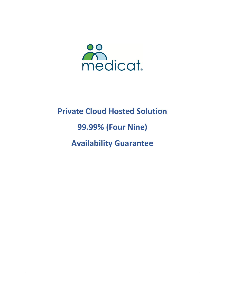

# **Private Cloud Hosted Solution 99.99% (Four Nine) Availability Guarantee**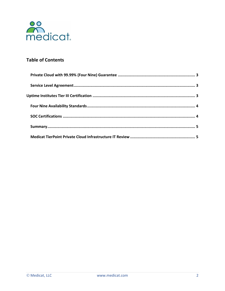

# **Table of Contents**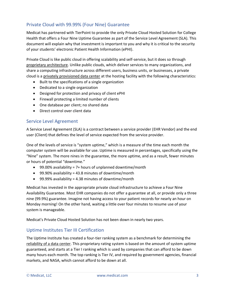## Private Cloud with 99.99% (Four Nine) Guarantee

Medicat has partnered with TierPoint to provide the only Private Cloud Hosted Solution for College Health that offers a Four Nine Uptime Guarantee as part of the Service Level Agreement (SLA). This document will explain why that investment is important to you and why it is critical to the security of your students' electronic Patient Health Information (ePHI).

Private Cloud is like public cloud in offering scalability and self-service, but it does so through proprietary architecture. Unlike public clouds, which deliver services to many organizations, and share a computing infrastructure across different users, business units, or businesses, a private cloud is a privately provisioned data center at the hosting facility with the following characteristics:

- Built to the specifications of a single organization
- Dedicated to a single organization
- Designed for protection and privacy of client ePHI
- Firewall protecting a limited number of clients
- One database per client; no shared data
- Direct control over client data

#### Service Level Agreement

A Service Level Agreement (SLA) is a contract between a service provider (EHR Vendor) and the end user (Client) that defines the level of service expected from the service provider.

One of the levels of service is "system uptime," which is a measure of the time each month the computer system will be available for use. Uptime is measured in percentages, specifically using the "Nine" system. The more nines in the guarantee, the more uptime, and as a result, fewer minutes or hours of potential "downtime."

- 99.00% availability = 7+ hours of unplanned downtime/month
- 99.90% availability = 43.8 minutes of downtime/month
- 99.99% availability = 4.38 minutes of downtime/month

Medicat has invested in the appropriate private cloud infrastructure to achieve a Four Nine Availability Guarantee. Most EHR companies do not offer a guarantee at all, or provide only a three nine (99.9%) guarantee. Imagine not having access to your patient records for nearly an hour on Monday morning! On the other hand, waiting a little over four minutes to resume use of your system is manageable.

Medicat's Private Cloud Hosted Solution has not been down in nearly two years.

## Uptime Institutes Tier III Certification

The [Uptime](https://uptimeinstitute.com/) Institute has created a four-tier ranking system as a benchmark for determining the reliability of a data center. This proprietary rating system is based on the amount of system uptime guaranteed, and starts at a Tier I ranking which is used by companies that can afford to be down many hours each month. The top ranking is Tier IV, and required by government agencies, financial markets, and NASA, which cannot afford to be down at all.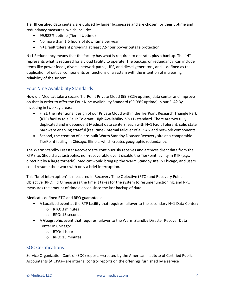Tier III certified data centers are utilized by larger businesses and are chosen for their uptime and redundancy measures, which include:

- 99.982% uptime (Tier III Uptime)
- No more than 1.6 hours of downtime per year
- N+1 fault tolerant providing at least 72-hour power outage protection

 $N+1$  Redundancy means that the facility has what is required to operate, plus a backup. The "N" represents what is required for a cloud facility to operate. The backup, or redundancy, can include items like power feeds, diverse network paths, UPS, and diesel generators, and is defined as the duplication of critical components or functions of a system with the intention of increasing reliability of the system.

## Four Nine Availability Standards

How did Medicat take a secure TierPoint Private Cloud (99.982% uptime) data center and improve on that in order to offer the Four Nine Availability Standard (99.99% uptime) in our SLA? By investing in two key areas:

- First, the intentional design of our Private Cloud within the TierPoint Research Triangle Park (RTP) facility to a Fault Tolerant, High Availability 2(N+1) standard. There are two fully duplicated and independent Medicat data centers, each with N+1 Fault Tolerant, solid state hardware enabling stateful (real time) internal failover of all SAN and network components.
- Second, the creation of a pre-built Warm Standby Disaster Recovery site at a comparable TierPoint facility in Chicago, Illinois, which creates geographic redundancy.

The Warm Standby Disaster Recovery site continuously receives and archives client data from the RTP site. Should a catastrophic, non-recoverable event disable the TierPoint facility in RTP (e.g., direct hit by a large tornado), Medicat would bring up the Warm Standby site in Chicago, and users could resume their work with only a brief interruption.

This "brief interruption" is measured in Recovery Time Objective (RTO) and Recovery Point Objective (RPO). RTO measures the time it takes for the system to resume functioning, and RPO measures the amount of time elapsed since the last backup of data.

Medicat's defined RTO and RPO guarantees:

- A Localized event at the RTP facility that requires failover to the secondary N+1 Data Center:
	- o RTO: 3 minutes
	- o RPO: 15 seconds
- A Geographic event that requires failover to the Warm Standby Disaster Recover Data Center in Chicago:
	- o RTO: 1 hour
	- o RPO: 15 minutes

## SOC Certifications

Service Organization Control (SOC) reports—created by the American Institute of Certified Public Accountants (AICPA)—are internal control reports on the offerings furnished by a service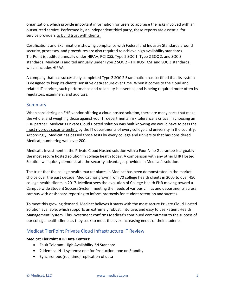organization, which provide important information for users to appraise the risks involved with an outsourced service. Performed by an independent third party, these reports are essential for service providers to build trust with clients.

Certifications and Examinations showing compliance with Federal and Industry Standards around security, processes, and procedures are also required to achieve high availability standards. TierPoint is audited annually under HIPAA, PCI DSS, Type 2 SOC 1, Type 2 SOC 2, and SOC 3 standards. Medicat is audited annually under Type 2 SOC 2 + HITRUST CSF and SOC 3 standards, which includes HIPAA.

A company that has successfully completed Type 2 SOC 2 Examination has certified that its system is designed to keep its [clients' sensitive data secure](http://netgainit.com/managed-it-services/technology-onesource-with-premium-it-security) over time. When it comes to the cloud and related IT services, such performance and reliability is essential, and is being required more often by regulators, examiners, and auditors.

## Summary

When considering an EHR vendor offering a cloud hosted solution, there are many parts that make the whole, and weighing those against your IT departments' risk tolerance is critical in choosing an EHR partner. Medicat's Private Cloud Hosted solution was built knowing we would have to pass the most rigorous security testing by the IT departments of every college and university in the country. Accordingly, Medicat has passed those tests by every college and university that has considered Medicat, numbering well over 200.

Medicat's investment in the Private Cloud Hosted solution with a Four Nine Guarantee is arguably the most secure hosted solution in college health today. A comparison with any other EHR Hosted Solution will quickly demonstrate the security advantages provided in Medicat's solution.

The trust that the college health market places in Medicat has been demonstrated in the market choice over the past decade. Medicat has grown from 70 college health clients in 2005 to over 450 college health clients in 2017. Medicat sees the evolution of College Health EHR moving toward a Campus-wide Student Success System meeting the needs of various clinics and departments across campus with dashboard reporting to inform protocols for student retention and success.

To meet this growing demand, Medicat believes it starts with the most secure Private Cloud Hosted Solution available, which supports an extremely robust, intuitive, and easy to use Patient Health Management System. This investment confirms Medicat's continued commitment to the success of our college health clients as they seek to meet the ever-increasing needs of their students.

## Medicat TierPoint Private Cloud Infrastructure IT Review

#### **Medicat TierPoint RTP Data Centers:**

- Fault Tolerant, High Availability 2N Standard
- 2 identical N+1 systems: one for Production, one on Standby
- Synchronous (real time) replication of data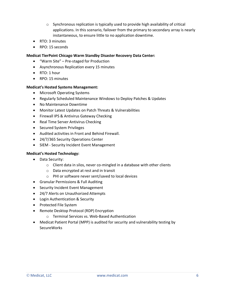- $\circ$  Synchronous replication is typically used to provide [high availability](http://searchdatacenter.techtarget.com/definition/high-availability) of critical applications. In this scenario, [failover](http://searchstorage.techtarget.com/definition/failover) from the primary to secondary array is nearly instantaneous, to ensure little to no application downtime.
- RTO: 3 minutes
- RPO: 15 seconds

#### **Medicat TierPoint Chicago Warm Standby Disaster Recovery Data Center:**

- "Warm Site" Pre-staged for Production
- Asynchronous Replication every 15 minutes
- RTO: 1 hour
- RPO: 15 minutes

#### **Medicat's Hosted Systems Management:**

- Microsoft Operating Systems
- Regularly Scheduled Maintenance Windows to Deploy Patches & Updates
- No Maintenance Downtime
- Monitor Latest Updates on Patch Threats & Vulnerabilities
- Firewall IPS & Antivirus Gateway Checking
- Real Time Server Antivirus Checking
- Secured System Privileges
- Audited activities in Front and Behind Firewall.
- 24/7/365 Security Operations Center
- SIEM Security Incident Event Management

#### **Medicat's Hosted Technology:**

- Data Security:
	- o Client data in silos, never co-mingled in a database with other clients
	- o Data encrypted at rest and in transit
	- o PHI or software never sent/saved to local devices
- Granular Permissions & Full Auditing
- Security Incident Event Management
- 24/7 Alerts on Unauthorized Attempts
- Login Authentication & Security
- Protected File System
- Remote Desktop Protocol (RDP) Encryption
	- o Terminal Services vs. Web-Based Authentication
- Medicat Patient Portal (MPP) is audited for security and vulnerability testing by SecureWorks